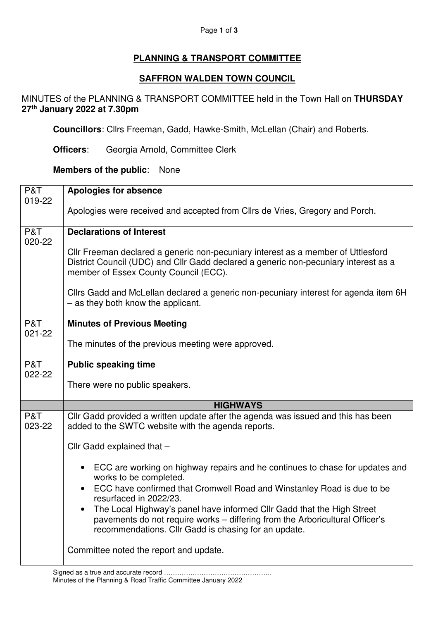#### Page **1** of **3**

# **PLANNING & TRANSPORT COMMITTEE**

# **SAFFRON WALDEN TOWN COUNCIL**

## MINUTES of the PLANNING & TRANSPORT COMMITTEE held in the Town Hall on **THURSDAY 27th January 2022 at 7.30pm**

**Councillors**: Cllrs Freeman, Gadd, Hawke-Smith, McLellan (Chair) and Roberts.

**Officers**: Georgia Arnold, Committee Clerk

## **Members of the public**: None

| P&T           | <b>Apologies for absence</b>                                                                                                                                                                                                |
|---------------|-----------------------------------------------------------------------------------------------------------------------------------------------------------------------------------------------------------------------------|
| 019-22        | Apologies were received and accepted from Cllrs de Vries, Gregory and Porch.                                                                                                                                                |
| P&T           | <b>Declarations of Interest</b>                                                                                                                                                                                             |
| 020-22        | Cllr Freeman declared a generic non-pecuniary interest as a member of Uttlesford<br>District Council (UDC) and Cllr Gadd declared a generic non-pecuniary interest as a<br>member of Essex County Council (ECC).            |
|               | Cllrs Gadd and McLellan declared a generic non-pecuniary interest for agenda item 6H<br>- as they both know the applicant.                                                                                                  |
| P&T<br>021-22 | <b>Minutes of Previous Meeting</b>                                                                                                                                                                                          |
|               | The minutes of the previous meeting were approved.                                                                                                                                                                          |
| P&T<br>022-22 | <b>Public speaking time</b>                                                                                                                                                                                                 |
|               | There were no public speakers.                                                                                                                                                                                              |
|               | <b>HIGHWAYS</b>                                                                                                                                                                                                             |
| P&T<br>023-22 | Cllr Gadd provided a written update after the agenda was issued and this has been<br>added to the SWTC website with the agenda reports.                                                                                     |
|               | Cllr Gadd explained that -                                                                                                                                                                                                  |
|               | ECC are working on highway repairs and he continues to chase for updates and<br>works to be completed.                                                                                                                      |
|               | ECC have confirmed that Cromwell Road and Winstanley Road is due to be<br>$\bullet$<br>resurfaced in 2022/23.                                                                                                               |
|               | The Local Highway's panel have informed Cllr Gadd that the High Street<br>$\bullet$<br>pavements do not require works - differing from the Arboricultural Officer's<br>recommendations. Cllr Gadd is chasing for an update. |
|               | Committee noted the report and update.                                                                                                                                                                                      |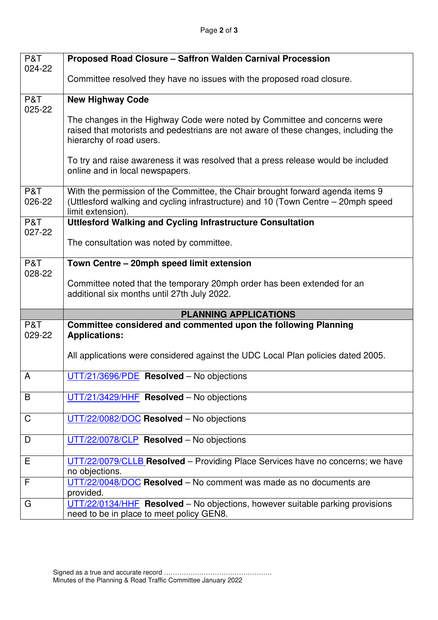| P&T           | Proposed Road Closure - Saffron Walden Carnival Procession                                                                                                                                   |
|---------------|----------------------------------------------------------------------------------------------------------------------------------------------------------------------------------------------|
| 024-22        | Committee resolved they have no issues with the proposed road closure.                                                                                                                       |
| P&T<br>025-22 | <b>New Highway Code</b>                                                                                                                                                                      |
|               | The changes in the Highway Code were noted by Committee and concerns were<br>raised that motorists and pedestrians are not aware of these changes, including the<br>hierarchy of road users. |
|               | To try and raise awareness it was resolved that a press release would be included<br>online and in local newspapers.                                                                         |
| P&T<br>026-22 | With the permission of the Committee, the Chair brought forward agenda items 9<br>(Uttlesford walking and cycling infrastructure) and 10 (Town Centre – 20mph speed<br>limit extension).     |
| P&T           | <b>Uttlesford Walking and Cycling Infrastructure Consultation</b>                                                                                                                            |
| 027-22        | The consultation was noted by committee.                                                                                                                                                     |
| P&T           | Town Centre - 20mph speed limit extension                                                                                                                                                    |
| 028-22        | Committee noted that the temporary 20mph order has been extended for an<br>additional six months until 27th July 2022.                                                                       |
|               | <b>PLANNING APPLICATIONS</b>                                                                                                                                                                 |
| P&T<br>029-22 | Committee considered and commented upon the following Planning<br><b>Applications:</b>                                                                                                       |
|               | All applications were considered against the UDC Local Plan policies dated 2005.                                                                                                             |
| A             | UTT/21/3696/PDE Resolved - No objections                                                                                                                                                     |
| B             | $UTT/21/3429/HHF$ Resolved – No objections                                                                                                                                                   |
| C             | UTT/22/0082/DOC Resolved - No objections                                                                                                                                                     |
| D             | UTT/22/0078/CLP Resolved - No objections                                                                                                                                                     |
| Е             | UTT/22/0079/CLLB Resolved - Providing Place Services have no concerns; we have<br>no objections.                                                                                             |
| F             | UTT/22/0048/DOC Resolved - No comment was made as no documents are<br>provided.                                                                                                              |
| G             | $UTT/22/0134/HHF$ Resolved – No objections, however suitable parking provisions<br>need to be in place to meet policy GEN8.                                                                  |

Ι